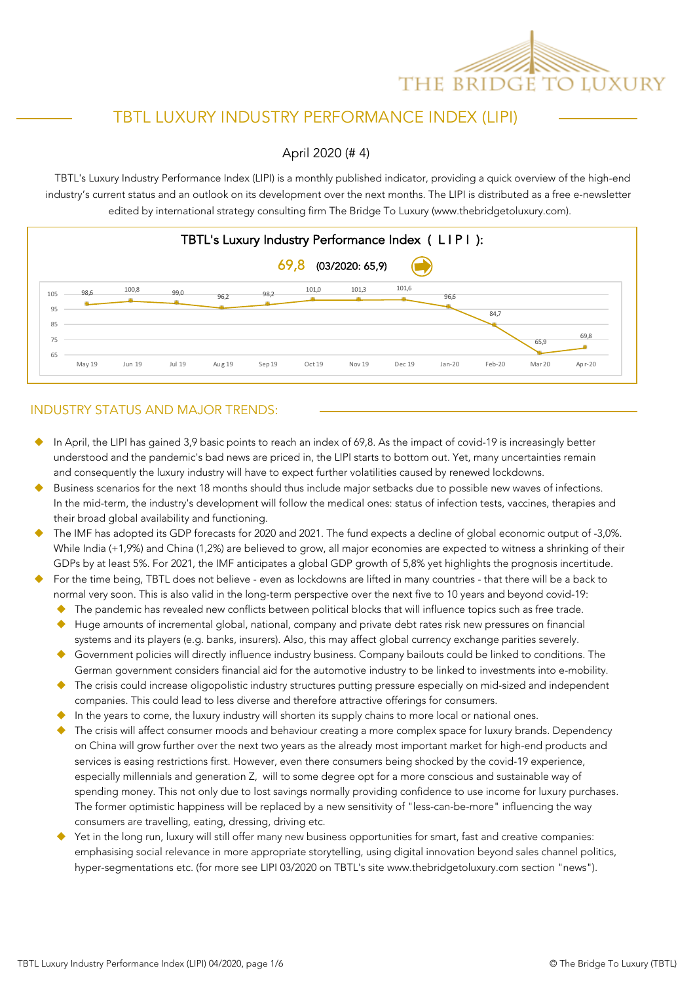

# TBTL LUXURY INDUSTRY PERFORMANCE INDEX (LIPI)

April 2020 (# 4)

industry's current status and an outlook on its development over the next months. The LIPI is distributed as a free e-newsletter edited by international strategy consulting firm The Bridge To Luxury (www.thebridgetoluxury.com). TBTL's Luxury Industry Performance Index (LIPI) is a monthly published indicator, providing a quick overview of the high-end



#### INDUSTRY STATUS AND MAJOR TRENDS:

- In April, the LIPI has gained 3,9 basic points to reach an index of 69,8. As the impact of covid-19 is increasingly better understood and the pandemic's bad news are priced in, the LIPI starts to bottom out. Yet, many uncertainties remain and consequently the luxury industry will have to expect further volatilities caused by renewed lockdowns.
- Business scenarios for the next 18 months should thus include major setbacks due to possible new waves of infections. In the mid-term, the industry's development will follow the medical ones: status of infection tests, vaccines, therapies and their broad global availability and functioning.
- The IMF has adopted its GDP forecasts for 2020 and 2021. The fund expects a decline of global economic output of -3,0%. While India (+1,9%) and China (1,2%) are believed to grow, all major economies are expected to witness a shrinking of their GDPs by at least 5%. For 2021, the IMF anticipates a global GDP growth of 5,8% yet highlights the prognosis incertitude.
- For the time being, TBTL does not believe even as lockdowns are lifted in many countries that there will be a back to normal very soon. This is also valid in the long-term perspective over the next five to 10 years and beyond covid-19:
	- The pandemic has revealed new conflicts between political blocks that will influence topics such as free trade.
	- Huge amounts of incremental global, national, company and private debt rates risk new pressures on financial systems and its players (e.g. banks, insurers). Also, this may affect global currency exchange parities severely.
	- u Government policies will directly influence industry business. Company bailouts could be linked to conditions. The German government considers financial aid for the automotive industry to be linked to investments into e-mobility.
	- The crisis could increase oligopolistic industry structures putting pressure especially on mid-sized and independent companies. This could lead to less diverse and therefore attractive offerings for consumers.
	- In the years to come, the luxury industry will shorten its supply chains to more local or national ones.
	- The crisis will affect consumer moods and behaviour creating a more complex space for luxury brands. Dependency on China will grow further over the next two years as the already most important market for high-end products and services is easing restrictions first. However, even there consumers being shocked by the covid-19 experience, especially millennials and generation Z, will to some degree opt for a more conscious and sustainable way of spending money. This not only due to lost savings normally providing confidence to use income for luxury purchases. The former optimistic happiness will be replaced by a new sensitivity of "less-can-be-more" influencing the way consumers are travelling, eating, dressing, driving etc.
	- Yet in the long run, luxury will still offer many new business opportunities for smart, fast and creative companies: emphasising social relevance in more appropriate storytelling, using digital innovation beyond sales channel politics, hyper-segmentations etc. (for more see LIPI 03/2020 on TBTL's site www.thebridgetoluxury.com section "news").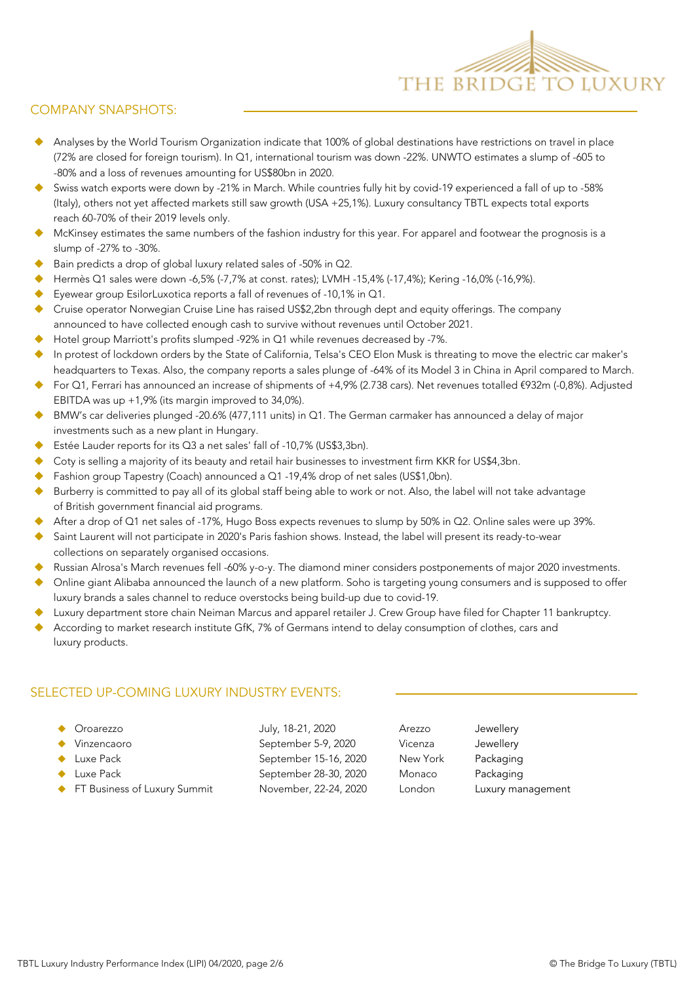

#### COMPANY SNAPSHOTS:

- Analyses by the World Tourism Organization indicate that 100% of global destinations have restrictions on travel in place (72% are closed for foreign tourism). In Q1, international tourism was down -22%. UNWTO estimates a slump of -605 to -80% and a loss of revenues amounting for US\$80bn in 2020.
- Swiss watch exports were down by -21% in March. While countries fully hit by covid-19 experienced a fall of up to -58% (Italy), others not yet affected markets still saw growth (USA +25,1%). Luxury consultancy TBTL expects total exports to reach 60-70% of their 2019 levels only.
- McKinsey estimates the same numbers of the fashion industry for this year. For apparel and footwear the prognosis is a slump of -27% to -30%.
- Bain predicts a drop of global luxury related sales of -50% in Q2.
- u Hermès Q1 sales were down -6,5% (-7,7% at const. rates); LVMH -15,4% (-17,4%); Kering -16,0% (-16,9%).
- Eyewear group EsilorLuxotica reports a fall of revenues of -10,1% in Q1.
- Cruise operator Norwegian Cruise Line has raised US\$2,2bn through dept and equity offerings. The company announced to have collected enough cash to survive without revenues until October 2021.
- Hotel group Marriott's profits slumped -92% in Q1 while revenues decreased by -7%.
- In protest of lockdown orders by the State of California, Telsa's CEO Elon Musk is threating to move the electric car maker's headquarters to Texas. Also, the company reports a sales plunge of -64% of its Model 3 in China in April compared to March.
- u For Q1, Ferrari has announced an increase of shipments of +4,9% (2.738 cars). Net revenues totalled €932m (-0,8%). Adjusted EBITDA was up +1,9% (its margin improved to 34,0%).
- BMW's car deliveries plunged -20.6% (477,111 units) in Q1. The German carmaker has announced a delay of major investments such as a new plant in Hungary.
- Estée Lauder reports for its Q3 a net sales' fall of -10,7% (US\$3,3bn).
- Coty is selling a majority of its beauty and retail hair businesses to investment firm KKR for US\$4,3bn.
- Fashion group Tapestry (Coach) announced a Q1 -19,4% drop of net sales (US\$1,0bn).
- Burberry is committed to pay all of its global staff being able to work or not. Also, the label will not take advantage of British government financial aid programs.
- After a drop of Q1 net sales of -17%, Hugo Boss expects revenues to slump by 50% in Q2. Online sales were up 39%.
- Saint Laurent will not participate in 2020's Paris fashion shows. Instead, the label will present its ready-to-wear collections on separately organised occasions.
- Russian Alrosa's March revenues fell -60% y-o-y. The diamond miner considers postponements of major 2020 investments.
- u Online giant Alibaba announced the launch of a new platform. Soho is targeting young consumers and is supposed to offer luxury brands a sales channel to reduce overstocks being build-up due to covid-19.
- Luxury department store chain Neiman Marcus and apparel retailer J. Crew Group have filed for Chapter 11 bankruptcy.
- According to market research institute GfK, 7% of Germans intend to delay consumption of clothes, cars and luxury products.

#### SELECTED UP-COMING LUXURY INDUSTRY EVENTS:

| Oroarezzo                      | July, 18-21, 2020     | Arezzo   | Jewellery         |
|--------------------------------|-----------------------|----------|-------------------|
| Vinzencaoro                    | September 5-9, 2020   | Vicenza  | Jewellery         |
| Luxe Pack                      | September 15-16, 2020 | New York | Packaging         |
| Luxe Pack                      | September 28-30, 2020 | Monaco   | Packaging         |
| ← FT Business of Luxury Summit | November, 22-24, 2020 | London   | Luxury management |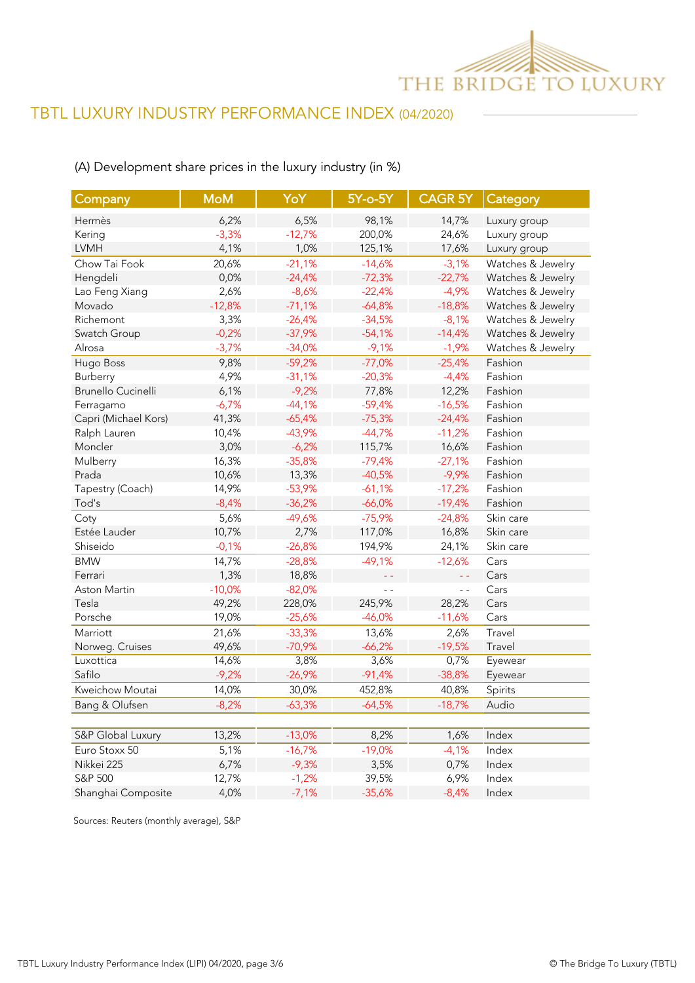

## (A) Development share prices in the luxury industry (in %)

| Company                   | <b>MoM</b> | YoY      | $5Y$ -o- $5Y$     | CAGR 5Y Category |                   |
|---------------------------|------------|----------|-------------------|------------------|-------------------|
| Hermès                    | 6,2%       | 6,5%     | 98,1%             | 14,7%            | Luxury group      |
| Kering                    | $-3,3%$    | $-12,7%$ | 200,0%            | 24,6%            | Luxury group      |
| <b>LVMH</b>               | 4,1%       | 1,0%     | 125,1%            | 17,6%            | Luxury group      |
| Chow Tai Fook             | 20,6%      | $-21,1%$ | $-14,6%$          | $-3,1%$          | Watches & Jewelry |
| Hengdeli                  | 0,0%       | $-24,4%$ | $-72,3%$          | $-22,7%$         | Watches & Jewelry |
| Lao Feng Xiang            | 2,6%       | $-8,6%$  | $-22,4%$          | $-4,9%$          | Watches & Jewelry |
| Movado                    | $-12,8%$   | $-71,1%$ | $-64,8%$          | $-18,8%$         | Watches & Jewelry |
| Richemont                 | 3,3%       | $-26,4%$ | $-34,5%$          | $-8,1%$          | Watches & Jewelry |
| Swatch Group              | $-0,2%$    | $-37,9%$ | $-54,1%$          | $-14,4%$         | Watches & Jewelry |
| Alrosa                    | $-3,7%$    | $-34,0%$ | $-9,1%$           | $-1,9%$          | Watches & Jewelry |
| Hugo Boss                 | 9,8%       | $-59,2%$ | $-77,0%$          | $-25,4%$         | Fashion           |
| Burberry                  | 4,9%       | $-31,1%$ | $-20,3%$          | $-4,4%$          | Fashion           |
| <b>Brunello Cucinelli</b> | 6,1%       | $-9,2%$  | 77,8%             | 12,2%            | Fashion           |
| Ferragamo                 | $-6,7%$    | $-44,1%$ | $-59,4%$          | $-16,5%$         | Fashion           |
| Capri (Michael Kors)      | 41,3%      | $-65,4%$ | $-75,3%$          | $-24,4%$         | Fashion           |
| Ralph Lauren              | 10,4%      | $-43,9%$ | $-44,7%$          | $-11,2%$         | Fashion           |
| Moncler                   | 3,0%       | $-6,2%$  | 115,7%            | 16,6%            | Fashion           |
| Mulberry                  | 16,3%      | $-35,8%$ | $-79,4%$          | $-27,1%$         | Fashion           |
| Prada                     | 10,6%      | 13,3%    | $-40,5%$          | $-9,9%$          | Fashion           |
| Tapestry (Coach)          | 14,9%      | $-53,9%$ | $-61,1%$          | $-17,2%$         | Fashion           |
| Tod's                     | $-8,4%$    | $-36,2%$ | $-66,0%$          | $-19,4%$         | Fashion           |
| Coty                      | 5,6%       | $-49,6%$ | $-75,9%$          | $-24,8%$         | Skin care         |
| Estée Lauder              | 10,7%      | 2,7%     | 117,0%            | 16,8%            | Skin care         |
| Shiseido                  | $-0,1%$    | $-26,8%$ | 194,9%            | 24,1%            | Skin care         |
| <b>BMW</b>                | 14,7%      | $-28,8%$ | $-49,1%$          | $-12,6%$         | Cars              |
| Ferrari                   | 1,3%       | 18,8%    | $\equiv$ $\equiv$ | 44               | Cars              |
| Aston Martin              | $-10,0%$   | $-82,0%$ | $ -$              | $ -$             | Cars              |
| Tesla                     | 49,2%      | 228,0%   | 245,9%            | 28,2%            | Cars              |
| Porsche                   | 19,0%      | $-25,6%$ | $-46,0%$          | $-11,6%$         | Cars              |
| Marriott                  | 21,6%      | $-33,3%$ | 13,6%             | 2,6%             | Travel            |
| Norweg. Cruises           | 49,6%      | $-70,9%$ | $-66,2%$          | $-19,5%$         | Travel            |
| Luxottica                 | 14,6%      | 3,8%     | 3,6%              | 0,7%             | Eyewear           |
| Safilo                    | $-9,2%$    | $-26,9%$ | $-91,4%$          | $-38,8%$         | Eyewear           |
| Kweichow Moutai           | 14,0%      | 30,0%    | 452,8%            | 40,8%            | Spirits           |
| Bang & Olufsen            | $-8,2%$    | $-63,3%$ | $-64,5%$          | $-18,7%$         | Audio             |
|                           |            |          |                   |                  |                   |
| S&P Global Luxury         | 13,2%      | $-13,0%$ | 8,2%              | 1,6%             | Index             |
| Euro Stoxx 50             | 5,1%       | $-16,7%$ | $-19,0%$          | $-4,1%$          | Index             |
| Nikkei 225                | 6,7%       | $-9,3%$  | 3,5%              | 0,7%             | Index             |
| S&P 500                   | 12,7%      | $-1,2%$  | 39,5%             | 6,9%             | Index             |
| Shanghai Composite        | 4,0%       | $-7,1%$  | $-35,6%$          | $-8,4%$          | Index             |

Sources: Reuters (monthly average), S&P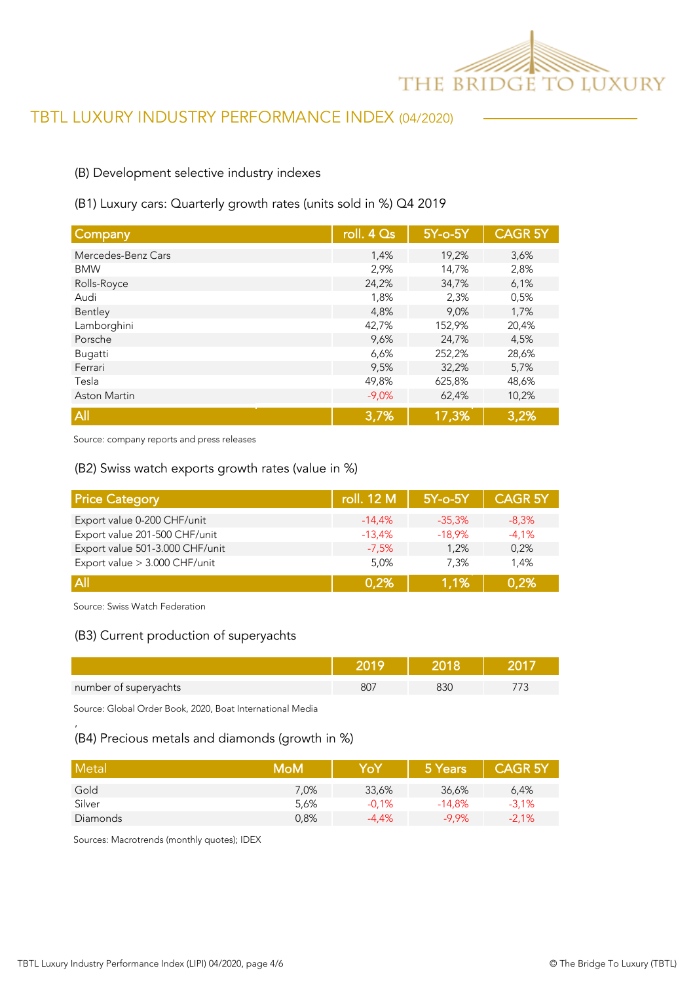

### (B) Development selective industry indexes

#### (B1) Luxury cars: Quarterly growth rates (units sold in %) Q4 2019

| Company             | roll. 4 Qs | 5Y-o-5Y | <b>CAGR 5Y</b> |
|---------------------|------------|---------|----------------|
| Mercedes-Benz Cars  | 1,4%       | 19,2%   | 3,6%           |
| <b>BMW</b>          | 2,9%       | 14,7%   | 2,8%           |
| Rolls-Royce         | 24,2%      | 34,7%   | 6,1%           |
| Audi                | 1,8%       | 2,3%    | 0,5%           |
| Bentley             | 4,8%       | 9,0%    | 1,7%           |
| Lamborghini         | 42,7%      | 152,9%  | 20,4%          |
| Porsche             | 9,6%       | 24,7%   | 4,5%           |
| Bugatti             | 6,6%       | 252,2%  | 28,6%          |
| Ferrari             | 9,5%       | 32,2%   | 5,7%           |
| Tesla               | 49,8%      | 625,8%  | 48,6%          |
| <b>Aston Martin</b> | $-9,0%$    | 62,4%   | 10,2%          |
| All                 | 3,7%       | 17,3%   | 3,2%           |

Source: company reports and press releases

#### (B2) Swiss watch exports growth rates (value in %)

| <b>Price Category</b>           | roll. 12 M | 5Y-o-5Y  | <b>CAGR 5Y</b> |
|---------------------------------|------------|----------|----------------|
| Export value 0-200 CHF/unit     | $-14.4%$   | $-35,3%$ | $-8,3%$        |
| Export value 201-500 CHF/unit   | $-13,4%$   | $-18,9%$ | $-4,1%$        |
| Export value 501-3.000 CHF/unit | $-7.5%$    | 1.2%     | 0.2%           |
| Export value > 3.000 CHF/unit   | 5,0%       | 7.3%     | 1.4%           |
| <b>All</b>                      | 0.2%       | 1,1%     | 0,2%           |

Source: Swiss Watch Federation

'

#### (B3) Current production of superyachts

| number of superyachts | BC. |  |
|-----------------------|-----|--|

Source: Global Order Book, 2020, Boat International Media

#### (B4) Precious metals and diamonds (growth in %)

| Metal    | MoM  | YoY      | 5 Years  | <b>CAGR 5Y</b> |
|----------|------|----------|----------|----------------|
| Gold     | 7,0% | 33,6%    | 36,6%    | 6,4%           |
| Silver   | 5,6% | $-0.1%$  | $-14.8%$ | $-3,1%$        |
| Diamonds | 0,8% | $-4.4\%$ | $-9.9%$  | $-2,1%$        |

Sources: Macrotrends (monthly quotes); IDEX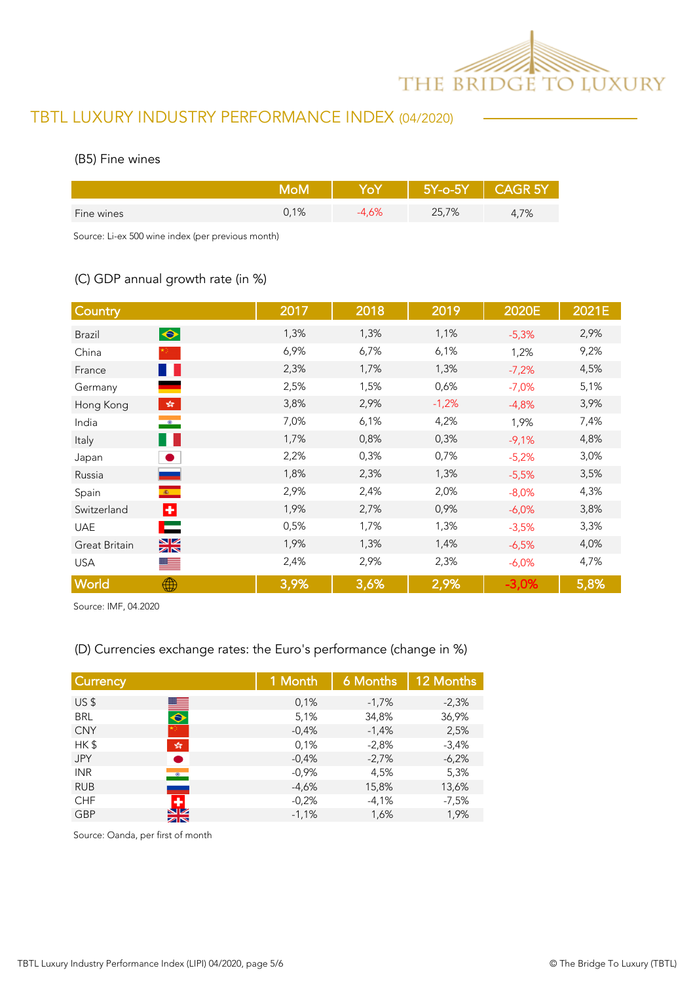

#### (B5) Fine wines

|            | M∩M     |      | $5Y$ -o- $5Y$ | CAGR <sub>5Y</sub> |
|------------|---------|------|---------------|--------------------|
| Fine wines | $0,1\%$ | 4.6% | 25,7%         | 4,7%               |

Source: Li-ex 500 wine index (per previous month)

## (C) GDP annual growth rate (in %)

| Country                                   | 2017 | 2018 | 2019    | 2020E    | 2021E |
|-------------------------------------------|------|------|---------|----------|-------|
| $\bullet$<br><b>Brazil</b>                | 1,3% | 1,3% | 1,1%    | $-5,3%$  | 2,9%  |
| China                                     | 6,9% | 6,7% | 6,1%    | 1,2%     | 9,2%  |
| a pro<br>France                           | 2,3% | 1,7% | 1,3%    | $-7,2%$  | 4,5%  |
| Germany                                   | 2,5% | 1,5% | 0,6%    | $-7,0%$  | 5,1%  |
| $\frac{\sqrt{3}}{2\sqrt{3}}$<br>Hong Kong | 3,8% | 2,9% | $-1,2%$ | $-4,8%$  | 3,9%  |
| $\bullet$<br>India                        | 7,0% | 6,1% | 4,2%    | 1,9%     | 7,4%  |
| . .<br>Italy                              | 1,7% | 0,8% | 0,3%    | $-9,1%$  | 4,8%  |
| $\bullet$<br>Japan                        | 2,2% | 0,3% | 0,7%    | $-5,2%$  | 3,0%  |
| Russia                                    | 1,8% | 2,3% | 1,3%    | $-5,5%$  | 3,5%  |
| $\langle \Phi \rangle$ .<br>Spain         | 2,9% | 2,4% | 2,0%    | $-8,0%$  | 4,3%  |
| ÷<br>Switzerland                          | 1,9% | 2,7% | 0,9%    | $-6,0%$  | 3,8%  |
| Е<br><b>UAE</b>                           | 0,5% | 1,7% | 1,3%    | $-3,5%$  | 3,3%  |
| $\frac{N}{N}$<br>Great Britain            | 1,9% | 1,3% | 1,4%    | $-6.5%$  | 4,0%  |
| <b>USA</b><br>▓▘                          | 2,4% | 2,9% | 2,3%    | $-6,0\%$ | 4,7%  |
| World<br>∰                                | 3,9% | 3,6% | 2,9%    | $-3,0%$  | 5,8%  |

Source: IMF, 04.2020

## (D) Currencies exchange rates: the Euro's performance (change in %)

| <b>Currency</b> |                              | 1 Month | 6 Months | 12 Months |
|-----------------|------------------------------|---------|----------|-----------|
| US <sub>5</sub> |                              | 0,1%    | $-1,7%$  | $-2,3%$   |
| <b>BRL</b>      | $\blacksquare$               | 5,1%    | 34,8%    | 36,9%     |
| <b>CNY</b>      |                              | $-0.4%$ | $-1,4%$  | 2,5%      |
| HK\$            | $\frac{\sqrt{3}}{2\sqrt{3}}$ | 0,1%    | $-2,8%$  | $-3,4%$   |
| <b>JPY</b>      |                              | $-0,4%$ | $-2.7%$  | $-6,2%$   |
| <b>INR</b>      | $\bullet$                    | $-0,9%$ | 4,5%     | 5,3%      |
| <b>RUB</b>      |                              | $-4,6%$ | 15,8%    | 13,6%     |
| <b>CHF</b>      |                              | $-0.2%$ | $-4,1%$  | $-7,5%$   |
| <b>GBP</b>      | NZ.<br>ZN                    | $-1,1%$ | 1,6%     | 1,9%      |
|                 |                              |         |          |           |

Source: Oanda, per first of month